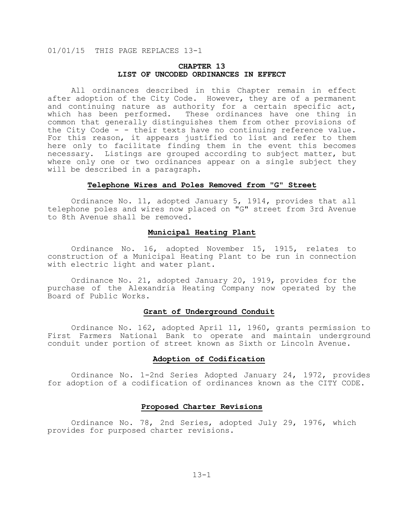# **CHAPTER 13 LIST OF UNCODED ORDINANCES IN EFFECT**

All ordinances described in this Chapter remain in effect after adoption of the City Code. However, they are of a permanent and continuing nature as authority for a certain specific act, which has been performed. These ordinances have one thing in common that generally distinguishes them from other provisions of the City Code - - their texts have no continuing reference value. For this reason, it appears justified to list and refer to them here only to facilitate finding them in the event this becomes necessary. Listings are grouped according to subject matter, but where only one or two ordinances appear on a single subject they will be described in a paragraph.

#### **Telephone Wires and Poles Removed from "G" Street**

Ordinance No. 11, adopted January 5, 1914, provides that all telephone poles and wires now placed on "G" street from 3rd Avenue to 8th Avenue shall be removed.

## **Municipal Heating Plant**

Ordinance No. 16, adopted November 15, 1915, relates to construction of a Municipal Heating Plant to be run in connection with electric light and water plant.

Ordinance No. 21, adopted January 20, 1919, provides for the purchase of the Alexandria Heating Company now operated by the Board of Public Works.

## **Grant of Underground Conduit**

Ordinance No. 162, adopted April 11, 1960, grants permission to First Farmers National Bank to operate and maintain underground conduit under portion of street known as Sixth or Lincoln Avenue.

# **Adoption of Codification**

Ordinance No. 1-2nd Series Adopted January 24, 1972, provides for adoption of a codification of ordinances known as the CITY CODE.

## **Proposed Charter Revisions**

Ordinance No. 78, 2nd Series, adopted July 29, 1976, which provides for purposed charter revisions.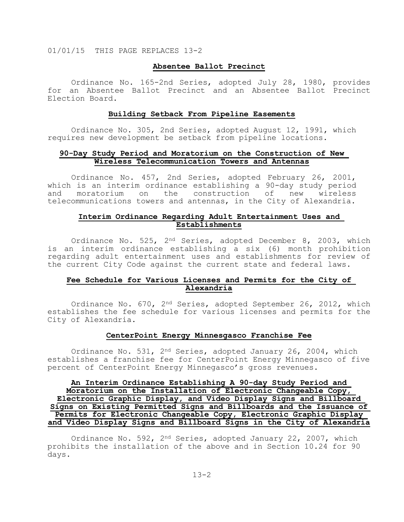#### **Absentee Ballot Precinct**

Ordinance No. 165-2nd Series, adopted July 28, 1980, provides for an Absentee Ballot Precinct and an Absentee Ballot Precinct Election Board.

#### **Building Setback From Pipeline Easements**

Ordinance No. 305, 2nd Series, adopted August 12, 1991, which requires new development be setback from pipeline locations.

## **90-Day Study Period and Moratorium on the Construction of New Wireless Telecommunication Towers and Antennas**

Ordinance No. 457, 2nd Series, adopted February 26, 2001, which is an interim ordinance establishing a 90-day study period<br>and moratorium on the construction of new wireless and moratorium on the construction of new wireless telecommunications towers and antennas, in the City of Alexandria.

# **Interim Ordinance Regarding Adult Entertainment Uses and Establishments**

Ordinance No. 525, 2<sup>nd</sup> Series, adopted December 8, 2003, which is an interim ordinance establishing a six (6) month prohibition regarding adult entertainment uses and establishments for review of the current City Code against the current state and federal laws.

# **Fee Schedule for Various Licenses and Permits for the City of Alexandria**

Ordinance No. 670, 2<sup>nd</sup> Series, adopted September 26, 2012, which establishes the fee schedule for various licenses and permits for the City of Alexandria.

#### **CenterPoint Energy Minnesgasco Franchise Fee**

Ordinance No. 531, 2<sup>nd</sup> Series, adopted January 26, 2004, which establishes a franchise fee for CenterPoint Energy Minnegasco of five percent of CenterPoint Energy Minnegasco's gross revenues.

# **An Interim Ordinance Establishing A 90-day Study Period and Moratorium on the Installation of Electronic Changeable Copy, Electronic Graphic Display, and Video Display Signs and Billboard Signs on Existing Permitted Signs and Billboards and the Issuance of Permits for Electronic Changeable Copy, Electronic Graphic Display and Video Display Signs and Billboard Signs in the City of Alexandria**

Ordinance No. 592, 2nd Series, adopted January 22, 2007, which prohibits the installation of the above and in Section 10.24 for 90 days.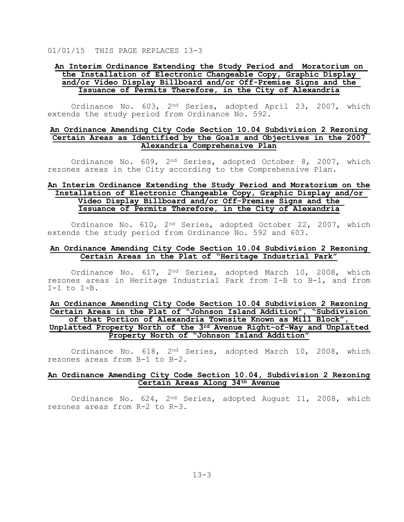# **An Interim Ordinance Extending the Study Period and Moratorium on the Installation of Electronic Changeable Copy, Graphic Display and/or Video Display Billboard and/or Off-Premise Signs and the Issuance of Permits Therefore, in the City of Alexandria**

Ordinance No. 603, 2<sup>nd</sup> Series, adopted April 23, 2007, which extends the study period from Ordinance No. 592.

## **An Ordinance Amending City Code Section 10.04 Subdivision 2 Rezoning Certain Areas as Identified by the Goals and Objectives in the 2007 Alexandria Comprehensive Plan**

Ordinance No. 609, 2<sup>nd</sup> Series, adopted October 8, 2007, which rezones areas in the City according to the Comprehensive Plan.

# **An Interim Ordinance Extending the Study Period and Moratorium on the Installation of Electronic Changeable Copy, Graphic Display and/or Video Display Billboard and/or Off-Premise Signs and the Issuance of Permits Therefore, in the City of Alexandria**

Ordinance No. 610, 2<sup>nd</sup> Series, adopted October 22, 2007, which extends the study period from Ordinance No. 592 and 603.

#### **An Ordinance Amending City Code Section 10.04 Subdivision 2 Rezoning Certain Areas in the Plat of "Heritage Industrial Park"**

Ordinance No. 617, 2nd Series, adopted March 10, 2008, which rezones areas in Heritage Industrial Park from I-B to B-1, and from I-1 to I-B.

# **An Ordinance Amending City Code Section 10.04 Subdivision 2 Rezoning Certain Areas in the Plat of "Johnson Island Addition", "Subdivision of that Portion of Alexandria Townsite Known as Mill Block", Unplatted Property North of the 3rd Avenue Right-of-Way and Unplatted Property North of "Johnson Island Addition"**

Ordinance No. 618, 2nd Series, adopted March 10, 2008, which rezones areas from B-1 to B-2.

# **An Ordinance Amending City Code Section 10.04, Subdivision 2 Rezoning Certain Areas Along 34th Avenue**

Ordinance No. 624, 2nd Series, adopted August 11, 2008, which rezones areas from R-2 to R-3.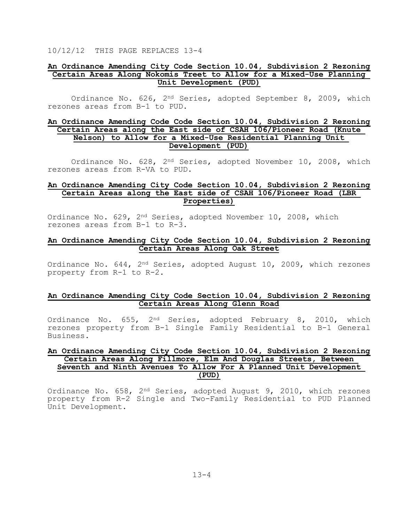#### **An Ordinance Amending City Code Section 10.04, Subdivision 2 Rezoning Certain Areas Along Nokomis Treet to Allow for a Mixed-Use Planning Unit Development (PUD)**

Ordinance No. 626, 2nd Series, adopted September 8, 2009, which rezones areas from B-1 to PUD.

# **An Ordinance Amending Code Code Section 10.04, Subdivision 2 Rezoning Certain Areas along the East side of CSAH 106/Pioneer Road (Knute Nelson) to Allow for a Mixed-Use Residential Planning Unit Development (PUD)**

Ordinance No. 628, 2<sup>nd</sup> Series, adopted November 10, 2008, which rezones areas from R-VA to PUD.

## **An Ordinance Amending City Code Section 10.04, Subdivision 2 Rezoning Certain Areas along the East side of CSAH 106/Pioneer Road (LBR Properties)**

Ordinance No. 629, 2<sup>nd</sup> Series, adopted November 10, 2008, which rezones areas from B-1 to R-3.

# **An Ordinance Amending City Code Section 10.04, Subdivision 2 Rezoning Certain Areas Along Oak Street**

Ordinance No. 644, 2nd Series, adopted August 10, 2009, which rezones property from R-1 to R-2.

## **An Ordinance Amending City Code Section 10.04, Subdivision 2 Rezoning Certain Areas Along Glenn Road**

Ordinance No. 655, 2<sup>nd</sup> Series, adopted February 8, 2010, which rezones property from B-1 Single Family Residential to B-1 General Business.

# **An Ordinance Amending City Code Section 10.04, Subdivision 2 Rezoning Certain Areas Along Fillmore, Elm And Douglas Streets, Between Seventh and Ninth Avenues To Allow For A Planned Unit Development (PUD)**

Ordinance No. 658, 2nd Series, adopted August 9, 2010, which rezones property from R-2 Single and Two-Family Residential to PUD Planned Unit Development.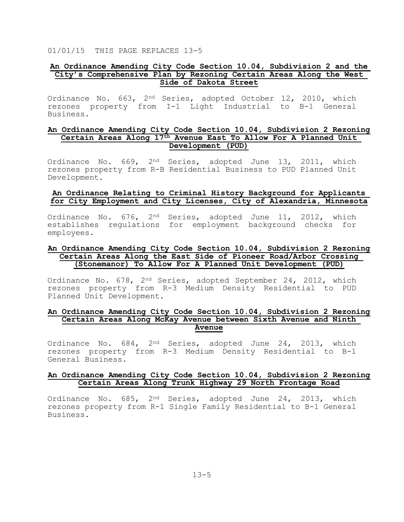#### **An Ordinance Amending City Code Section 10.04, Subdivision 2 and the City's Comprehensive Plan by Rezoning Certain Areas Along the West Side of Dakota Street**

Ordinance No. 663, 2<sup>nd</sup> Series, adopted October 12, 2010, which rezones property from I-1 Light Industrial to B-1 General Business.

## **An Ordinance Amending City Code Section 10.04, Subdivision 2 Rezoning Certain Areas Along 17th Avenue East To Allow For A Planned Unit Development (PUD)**

Ordinance No. 669, 2nd Series, adopted June 13, 2011, which rezones property from R-B Residential Business to PUD Planned Unit Development.

# **An Ordinance Relating to Criminal History Background for Applicants for City Employment and City Licenses, City of Alexandria, Minnesota**

Ordinance No. 676, 2<sup>nd</sup> Series, adopted June 11, 2012, which establishes regulations for employment background checks for employees.

# **An Ordinance Amending City Code Section 10.04, Subdivision 2 Rezoning Certain Areas Along the East Side of Pioneer Road/Arbor Crossing (Stonemanor) To Allow For A Planned Unit Development (PUD)**

Ordinance No. 678, 2nd Series, adopted September 24, 2012, which rezones property from R-3 Medium Density Residential to PUD Planned Unit Development.

# **An Ordinance Amending City Code Section 10.04, Subdivision 2 Rezoning Certain Areas Along McKay Avenue between Sixth Avenue and Ninth Avenue**

Ordinance No. 684, 2<sup>nd</sup> Series, adopted June 24, 2013, which rezones property from R-3 Medium Density Residential to B-1 General Business.

# **An Ordinance Amending City Code Section 10.04, Subdivision 2 Rezoning Certain Areas Along Trunk Highway 29 North Frontage Road**

Ordinance No. 685, 2<sup>nd</sup> Series, adopted June 24, 2013, which rezones property from R-1 Single Family Residential to B-1 General Business.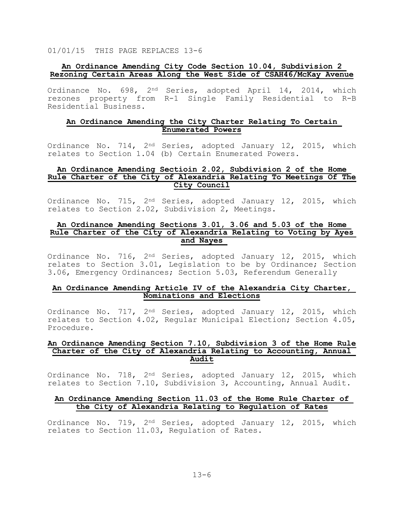## **An Ordinance Amending City Code Section 10.04, Subdivision 2 Rezoning Certain Areas Along the West Side of CSAH46/McKay Avenue**

Ordinance No. 698, 2<sup>nd</sup> Series, adopted April 14, 2014, which rezones property from R-1 Single Family Residential to R-B Residential Business.

#### **An Ordinance Amending the City Charter Relating To Certain Enumerated Powers**

Ordinance No. 714, 2<sup>nd</sup> Series, adopted January 12, 2015, which relates to Section 1.04 (b) Certain Enumerated Powers.

#### **An Ordinance Amending Sectioin 2.02, Subdivision 2 of the Home Rule Charter of the City of Alexandria Relating To Meetings Of The City Council**

Ordinance No. 715, 2<sup>nd</sup> Series, adopted January 12, 2015, which relates to Section 2.02, Subdivision 2, Meetings.

# **An Ordinance Amending Sections 3.01, 3.06 and 5.03 of the Home Rule Charter of the City of Alexandria Relating to Voting by Ayes and Nayes**

Ordinance No. 716, 2<sup>nd</sup> Series, adopted January 12, 2015, which relates to Section 3.01, Legislation to be by Ordinance; Section 3.06, Emergency Ordinances; Section 5.03, Referendum Generally

# **An Ordinance Amending Article IV of the Alexandria City Charter, Nominations and Elections**

Ordinance No. 717, 2<sup>nd</sup> Series, adopted January 12, 2015, which relates to Section 4.02, Regular Municipal Election; Section 4.05, Procedure.

#### **An Ordinance Amending Section 7.10, Subdivision 3 of the Home Rule Charter of the City of Alexandria Relating to Accounting, Annual Audit**

Ordinance No. 718, 2<sup>nd</sup> Series, adopted January 12, 2015, which relates to Section 7.10, Subdivision 3, Accounting, Annual Audit.

#### **An Ordinance Amending Section 11.03 of the Home Rule Charter of the City of Alexandria Relating to Regulation of Rates**

Ordinance No. 719, 2<sup>nd</sup> Series, adopted January 12, 2015, which relates to Section 11.03, Regulation of Rates.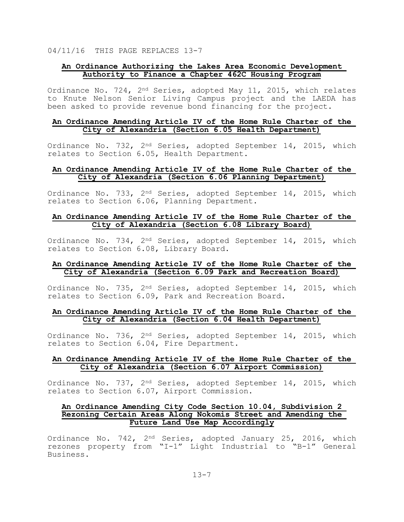# **An Ordinance Authorizing the Lakes Area Economic Development Authority to Finance a Chapter 462C Housing Program**

Ordinance No. 724, 2nd Series, adopted May 11, 2015, which relates to Knute Nelson Senior Living Campus project and the LAEDA has been asked to provide revenue bond financing for the project.

#### **An Ordinance Amending Article IV of the Home Rule Charter of the City of Alexandria (Section 6.05 Health Department)**

Ordinance No. 732, 2<sup>nd</sup> Series, adopted September 14, 2015, which relates to Section 6.05, Health Department.

## **An Ordinance Amending Article IV of the Home Rule Charter of the City of Alexandria (Section 6.06 Planning Department)**

Ordinance No. 733, 2nd Series, adopted September 14, 2015, which relates to Section 6.06, Planning Department.

# **An Ordinance Amending Article IV of the Home Rule Charter of the City of Alexandria (Section 6.08 Library Board)**

Ordinance No. 734, 2nd Series, adopted September 14, 2015, which relates to Section 6.08, Library Board.

# **An Ordinance Amending Article IV of the Home Rule Charter of the City of Alexandria (Section 6.09 Park and Recreation Board)**

Ordinance No. 735, 2nd Series, adopted September 14, 2015, which relates to Section 6.09, Park and Recreation Board.

# **An Ordinance Amending Article IV of the Home Rule Charter of the City of Alexandria (Section 6.04 Health Department)**

Ordinance No. 736, 2nd Series, adopted September 14, 2015, which relates to Section 6.04, Fire Department.

# **An Ordinance Amending Article IV of the Home Rule Charter of the City of Alexandria (Section 6.07 Airport Commission)**

Ordinance No. 737, 2nd Series, adopted September 14, 2015, which relates to Section 6.07, Airport Commission.

# **An Ordinance Amending City Code Section 10.04, Subdivision 2 Rezoning Certain Areas Along Nokomis Street and Amending the Future Land Use Map Accordingly**

Ordinance No. 742, 2<sup>nd</sup> Series, adopted January 25, 2016, which rezones property from "I-1" Light Industrial to "B-1" General Business.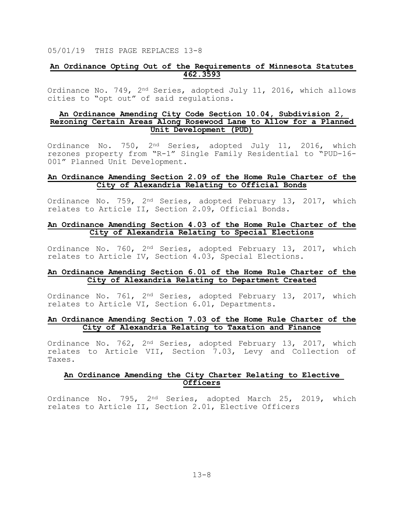# **An Ordinance Opting Out of the Requirements of Minnesota Statutes 462.3593**

Ordinance No. 749, 2nd Series, adopted July 11, 2016, which allows cities to "opt out" of said regulations.

## **An Ordinance Amending City Code Section 10.04, Subdivision 2, Rezoning Certain Areas Along Rosewood Lane to Allow for a Planned Unit Development (PUD)**

Ordinance No. 750, 2<sup>nd</sup> Series, adopted July 11, 2016, which rezones property from "R-1" Single Family Residential to "PUD-16- 001" Planned Unit Development.

## **An Ordinance Amending Section 2.09 of the Home Rule Charter of the City of Alexandria Relating to Official Bonds**

Ordinance No. 759, 2<sup>nd</sup> Series, adopted February 13, 2017, which relates to Article II, Section 2.09, Official Bonds.

## **An Ordinance Amending Section 4.03 of the Home Rule Charter of the City of Alexandria Relating to Special Elections**

Ordinance No. 760, 2nd Series, adopted February 13, 2017, which relates to Article IV, Section 4.03, Special Elections.

# **An Ordinance Amending Section 6.01 of the Home Rule Charter of the City of Alexandria Relating to Department Created**

Ordinance No. 761, 2nd Series, adopted February 13, 2017, which relates to Article VI, Section 6.01, Departments.

#### **An Ordinance Amending Section 7.03 of the Home Rule Charter of the City of Alexandria Relating to Taxation and Finance**

Ordinance No. 762, 2<sup>nd</sup> Series, adopted February 13, 2017, which relates to Article VII, Section 7.03, Levy and Collection of Taxes.

# **An Ordinance Amending the City Charter Relating to Elective Officers**

Ordinance No. 795, 2<sup>nd</sup> Series, adopted March 25, 2019, which relates to Article II, Section 2.01, Elective Officers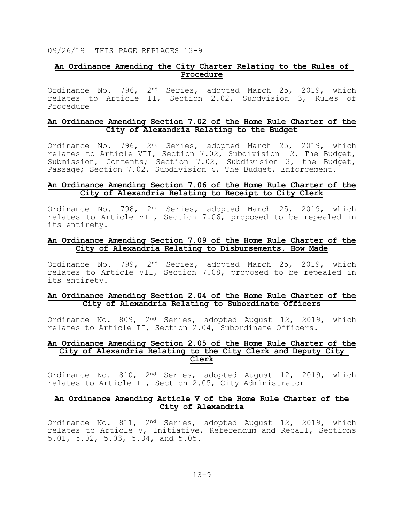09/26/19 THIS PAGE REPLACES 13-9

# **An Ordinance Amending the City Charter Relating to the Rules of Procedure**

Ordinance No. 796, 2<sup>nd</sup> Series, adopted March 25, 2019, which relates to Article II, Section 2.02, Subdvision 3, Rules of Procedure

#### **An Ordinance Amending Section 7.02 of the Home Rule Charter of the City of Alexandria Relating to the Budget**

Ordinance No. 796, 2nd Series, adopted March 25, 2019, which relates to Article VII, Section 7.02, Subdivision 2, The Budget, Submission, Contents; Section 7.02, Subdivision 3, the Budget, Passage; Section 7.02, Subdivision 4, The Budget, Enforcement.

## **An Ordinance Amending Section 7.06 of the Home Rule Charter of the City of Alexandria Relating to Receipt to City Clerk**

Ordinance No. 798, 2<sup>nd</sup> Series, adopted March 25, 2019, which relates to Article VII, Section 7.06, proposed to be repealed in its entirety.

## **An Ordinance Amending Section 7.09 of the Home Rule Charter of the City of Alexandria Relating to Disbursements, How Made**

Ordinance No. 799, 2<sup>nd</sup> Series, adopted March 25, 2019, which relates to Article VII, Section 7.08, proposed to be repealed in its entirety.

#### **An Ordinance Amending Section 2.04 of the Home Rule Charter of the City of Alexandria Relating to Subordinate Officers**

Ordinance No. 809, 2nd Series, adopted August 12, 2019, which relates to Article II, Section 2.04, Subordinate Officers.

## **An Ordinance Amending Section 2.05 of the Home Rule Charter of the City of Alexandria Relating to the City Clerk and Deputy City Clerk**

Ordinance No. 810, 2nd Series, adopted August 12, 2019, which relates to Article II, Section 2.05, City Administrator

# **An Ordinance Amending Article V of the Home Rule Charter of the City of Alexandria**

Ordinance No. 811, 2<sup>nd</sup> Series, adopted August 12, 2019, which relates to Article V, Initiative, Referendum and Recall, Sections 5.01, 5.02, 5.03, 5.04, and 5.05.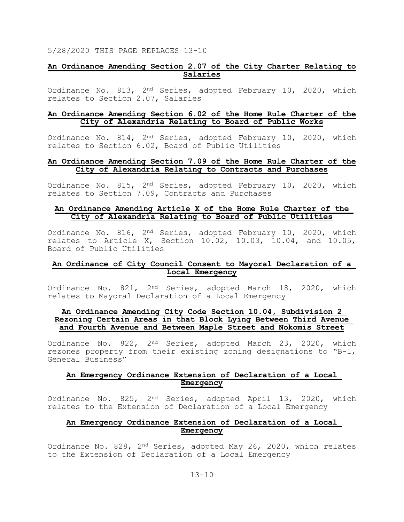# **An Ordinance Amending Section 2.07 of the City Charter Relating to Salaries**

Ordinance No. 813, 2nd Series, adopted February 10, 2020, which relates to Section 2.07, Salaries

## **An Ordinance Amending Section 6.02 of the Home Rule Charter of the City of Alexandria Relating to Board of Public Works**

Ordinance No. 814, 2nd Series, adopted February 10, 2020, which relates to Section 6.02, Board of Public Utilities

#### **An Ordinance Amending Section 7.09 of the Home Rule Charter of the City of Alexandria Relating to Contracts and Purchases**

Ordinance No. 815, 2nd Series, adopted February 10, 2020, which relates to Section 7.09, Contracts and Purchases

# **An Ordinance Amending Article X of the Home Rule Charter of the City of Alexandria Relating to Board of Public Utilities**

Ordinance No. 816, 2nd Series, adopted February 10, 2020, which relates to Article X, Section 10.02, 10.03, 10.04, and 10.05, Board of Public Utilities

# **An Ordinance of City Council Consent to Mayoral Declaration of a Local Emergency**

Ordinance No. 821, 2nd Series, adopted March 18, 2020, which relates to Mayoral Declaration of a Local Emergency

# **An Ordinance Amending City Code Section 10.04, Subdivision 2 Rezoning Certain Areas in that Block Lying Between Third Avenue and Fourth Avenue and Between Maple Street and Nokomis Street**

Ordinance No. 822, 2<sup>nd</sup> Series, adopted March 23, 2020, which rezones property from their existing zoning designations to "B-1, General Business"

# **An Emergency Ordinance Extension of Declaration of a Local Emergency**

Ordinance No. 825, 2<sup>nd</sup> Series, adopted April 13, 2020, which relates to the Extension of Declaration of a Local Emergency

# **An Emergency Ordinance Extension of Declaration of a Local Emergency**

Ordinance No. 828, 2nd Series, adopted May 26, 2020, which relates to the Extension of Declaration of a Local Emergency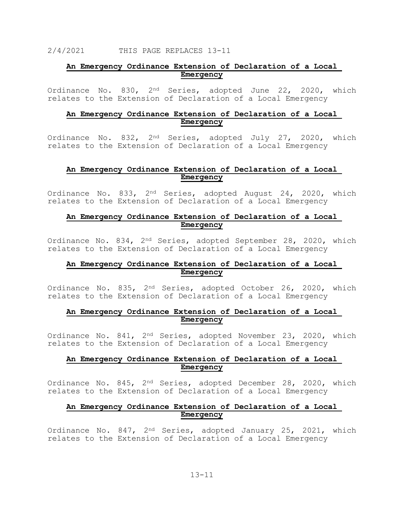# **An Emergency Ordinance Extension of Declaration of a Local Emergency**

Ordinance No. 830, 2nd Series, adopted June 22, 2020, which relates to the Extension of Declaration of a Local Emergency

# **An Emergency Ordinance Extension of Declaration of a Local Emergency**

Ordinance No. 832, 2<sup>nd</sup> Series, adopted July 27, 2020, which relates to the Extension of Declaration of a Local Emergency

#### **An Emergency Ordinance Extension of Declaration of a Local Emergency**

Ordinance No. 833, 2<sup>nd</sup> Series, adopted August 24, 2020, which relates to the Extension of Declaration of a Local Emergency

# **An Emergency Ordinance Extension of Declaration of a Local Emergency**

Ordinance No. 834, 2nd Series, adopted September 28, 2020, which relates to the Extension of Declaration of a Local Emergency

# **An Emergency Ordinance Extension of Declaration of a Local Emergency**

Ordinance No. 835, 2nd Series, adopted October 26, 2020, which relates to the Extension of Declaration of a Local Emergency

# **An Emergency Ordinance Extension of Declaration of a Local Emergency**

Ordinance No. 841, 2nd Series, adopted November 23, 2020, which relates to the Extension of Declaration of a Local Emergency

# **An Emergency Ordinance Extension of Declaration of a Local Emergency**

Ordinance No. 845, 2nd Series, adopted December 28, 2020, which relates to the Extension of Declaration of a Local Emergency

# **An Emergency Ordinance Extension of Declaration of a Local Emergency**

Ordinance No. 847, 2<sup>nd</sup> Series, adopted January 25, 2021, which relates to the Extension of Declaration of a Local Emergency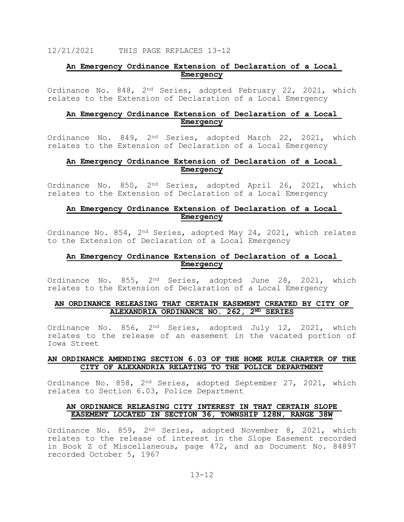# **An Emergency Ordinance Extension of Declaration of a Local Emergency**

Ordinance No. 848, 2nd Series, adopted February 22, 2021, which relates to the Extension of Declaration of a Local Emergency

# **An Emergency Ordinance Extension of Declaration of a Local Emergency**

Ordinance No. 849, 2nd Series, adopted March 22, 2021, which relates to the Extension of Declaration of a Local Emergency

# **An Emergency Ordinance Extension of Declaration of a Local Emergency**

Ordinance No. 850, 2<sup>nd</sup> Series, adopted April 26, 2021, which relates to the Extension of Declaration of a Local Emergency

# **An Emergency Ordinance Extension of Declaration of a Local Emergency**

Ordinance No. 854, 2nd Series, adopted May 24, 2021, which relates to the Extension of Declaration of a Local Emergency

#### **An Emergency Ordinance Extension of Declaration of a Local Emergency**

Ordinance No. 855, 2nd Series, adopted June 28, 2021, which relates to the Extension of Declaration of a Local Emergency

#### **AN ORDINANCE RELEASING THAT CERTAIN EASEMENT CREATED BY CITY OF ALEXANDRIA ORDINANCE NO. 262, 2ND SERIES**

Ordinance No. 856, 2<sup>nd</sup> Series, adopted July 12, 2021, which relates to the release of an easement in the vacated portion of Iowa Street

# **AN ORDINANCE AMENDING SECTION 6.03 OF THE HOME RULE CHARTER OF THE CITY OF ALEXANDRIA RELATING TO THE POLICE DEPARTMENT**

Ordinance No. 858, 2nd Series, adopted September 27, 2021, which relates to Section 6.03, Police Department

# **AN ORDINANCE RELEASING CITY INTEREST IN THAT CERTAIN SLOPE EASEMENT LOCATED IN SECTION 36, TOWNSHIP 128N, RANGE 38W**

Ordinance No. 859, 2<sup>nd</sup> Series, adopted November 8, 2021, which relates to the release of interest in the Slope Easement recorded in Book Z of Miscellaneous, page 472, and as Document No. 84897 recorded October 5, 1967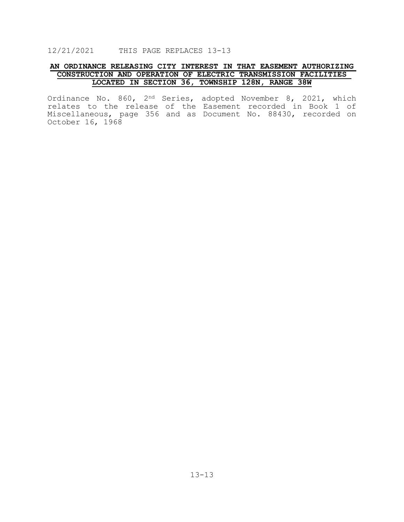# **AN ORDINANCE RELEASING CITY INTEREST IN THAT EASEMENT AUTHORIZING CONSTRUCTION AND OPERATION OF ELECTRIC TRANSMISSION FACILITIES LOCATED IN SECTION 36, TOWNSHIP 128N, RANGE 38W**

Ordinance No. 860, 2nd Series, adopted November 8, 2021, which relates to the release of the Easement recorded in Book 1 of Miscellaneous, page 356 and as Document No. 88430, recorded on October 16, 1968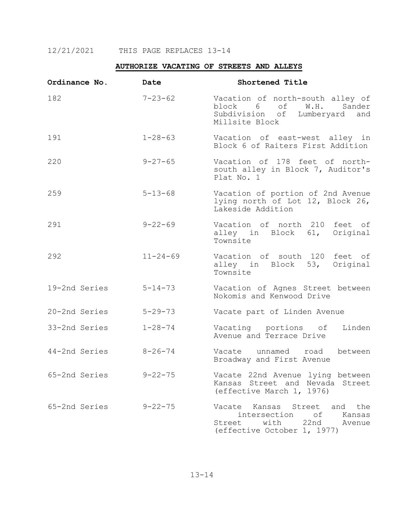# **AUTHORIZE VACATING OF STREETS AND ALLEYS**

| Ordinance No. | Date           | Shortened Title                                                                                                           |
|---------------|----------------|---------------------------------------------------------------------------------------------------------------------------|
| 182           | $7 - 23 - 62$  | Vacation of north-south alley of<br>block 6 of<br>W.H.<br>Sander<br>Subdivision of Lumberyard and<br>Millsite Block       |
| 191           | $1 - 28 - 63$  | Vacation of east-west alley in<br>Block 6 of Raiters First Addition                                                       |
| 220           | $9 - 27 - 65$  | Vacation of 178 feet of north-<br>south alley in Block 7, Auditor's<br>Plat No. 1                                         |
| 259           | $5 - 13 - 68$  | Vacation of portion of 2nd Avenue<br>lying north of Lot 12, Block 26,<br>Lakeside Addition                                |
| 291           | $9 - 22 - 69$  | Vacation of north 210 feet of<br>alley in Block 61, Original<br>Townsite                                                  |
| 292           | $11 - 24 - 69$ | Vacation of south 120 feet of<br>alley in Block 53, Original<br>Townsite                                                  |
| 19-2nd Series | $5 - 14 - 73$  | Vacation of Agnes Street between<br>Nokomis and Kenwood Drive                                                             |
| 20-2nd Series | $5 - 29 - 73$  | Vacate part of Linden Avenue                                                                                              |
| 33-2nd Series | $1 - 28 - 74$  | Vacating portions of<br>Linden<br>Avenue and Terrace Drive                                                                |
| 44-2nd Series | $8 - 26 - 74$  | between<br>Vacate unnamed road<br>Broadway and First Avenue                                                               |
| 65-2nd Series | $9 - 22 - 75$  | Vacate 22nd Avenue lying between<br>Kansas Street and Nevada Street<br>(effective March 1, 1976)                          |
| 65-2nd Series | $9 - 22 - 75$  | Vacate<br>Kansas Street and the<br>intersection of<br>Kansas<br>Street with 22nd<br>Avenue<br>(effective October 1, 1977) |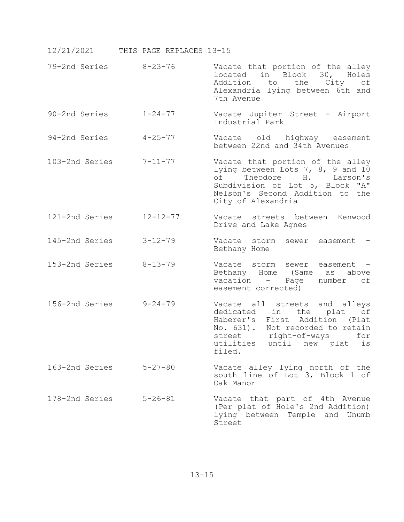- 79-2nd Series 8-23-76 Vacate that portion of the alley located in Block 30, Holes<br>Addition to the City of to the City Alexandria lying between 6th and 7th Avenue
- 90-2nd Series 1-24-77 Vacate Jupiter Street Airport Industrial Park
- 94-2nd Series 4-25-77 Vacate old highway easement between 22nd and 34th Avenues
- 103-2nd Series 7-11-77 Vacate that portion of the alley lying between Lots 7, 8, 9 and 10 of Theodore H. Larson's Subdivision of Lot 5, Block "A" Nelson's Second Addition to the City of Alexandria
- 121-2nd Series 12-12-77 Vacate streets between Kenwood Drive and Lake Agnes
- 145-2nd Series 3-12-79 Vacate storm sewer easement Bethany Home
- 153-2nd Series 8-13-79 Vacate storm sewer easement Bethany Home (Same as above<br>vacation - Page number of vacation - Page easement corrected)
- 156-2nd Series 9-24-79 Vacate all streets and alleys dedicated in the plat of Haberer's First Addition (Plat No. 631). Not recorded to retain<br>street right-of-ways for right-of-ways utilities until new plat is filed.
- 163-2nd Series 5-27-80 Vacate alley lying north of the south line of Lot 3, Block 1 of Oak Manor
- 178-2nd Series 5-26-81 Vacate that part of 4th Avenue (Per plat of Hole's 2nd Addition) lying between Temple and Unumb Street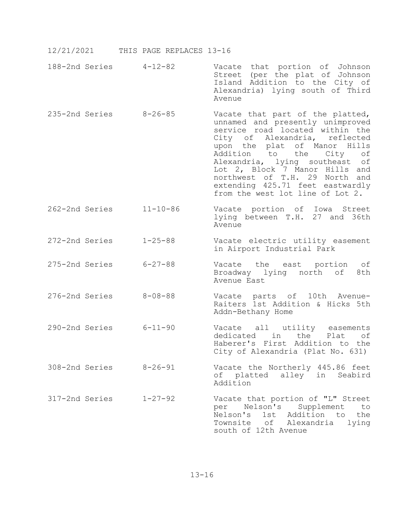- 188-2nd Series 4-12-82 Vacate that portion of Johnson Street (per the plat of Johnson Island Addition to the City of Alexandria) lying south of Third Avenue
- 235-2nd Series 8-26-85 Vacate that part of the platted, unnamed and presently unimproved service road located within the City of Alexandria, reflected upon the plat of Manor Hills<br>Addition to the City of the City Alexandria, lying southeast of Lot 2, Block 7 Manor Hills and northwest of T.H. 29 North and extending 425.71 feet eastwardly from the west lot line of Lot 2.
- 262-2nd Series 11-10-86 Vacate portion of Iowa Street lying between T.H. 27 and 36th Avenue
- 272-2nd Series 1-25-88 Vacate electric utility easement in Airport Industrial Park
- 275-2nd Series 6-27-88 Vacate the east portion of<br>Broadway lying north of 8th Broadway lying north of Avenue East
- 276-2nd Series 8-08-88 Vacate parts of 10th Avenue- Raiters 1st Addition & Hicks 5th Addn-Bethany Home
- 290-2nd Series 6-11-90 Vacate all utility easements the Plat of Haberer's First Addition to the City of Alexandria (Plat No. 631)
- 308-2nd Series 8-26-91 Vacate the Northerly 445.86 feet of platted alley in Seabird Addition
- 317-2nd Series 1-27-92 Vacate that portion of "L" Street per Nelson's Supplement to Nelson's 1st Addition to the Townsite of Alexandria lying south of 12th Avenue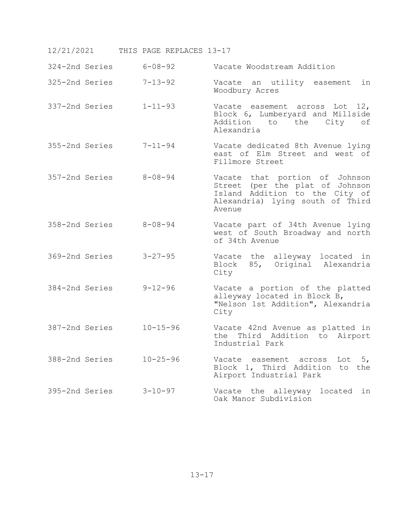| 324-2nd Series | $6 - 08 - 92$  | Vacate Woodstream Addition                                                                                                                        |
|----------------|----------------|---------------------------------------------------------------------------------------------------------------------------------------------------|
| 325-2nd Series | $7 - 13 - 92$  | Vacate an utility easement<br>in<br>Woodbury Acres                                                                                                |
| 337-2nd Series | $1 - 11 - 93$  | Vacate easement across Lot 12,<br>Block 6, Lumberyard and Millside<br>Addition to the City of<br>Alexandria                                       |
| 355-2nd Series | $7 - 11 - 94$  | Vacate dedicated 8th Avenue lying<br>east of Elm Street and west of<br>Fillmore Street                                                            |
| 357-2nd Series | $8 - 08 - 94$  | Vacate that portion of Johnson<br>Street (per the plat of Johnson<br>Island Addition to the City of<br>Alexandria) lying south of Third<br>Avenue |
| 358-2nd Series | $8 - 08 - 94$  | Vacate part of 34th Avenue lying<br>west of South Broadway and north<br>of 34th Avenue                                                            |
| 369-2nd Series | $3 - 27 - 95$  | Vacate the alleyway located in<br>85, Original Alexandria<br>Block<br>City                                                                        |
| 384-2nd Series | $9 - 12 - 96$  | Vacate a portion of the platted<br>alleyway located in Block B,<br>"Nelson 1st Addition", Alexandria<br>City                                      |
| 387-2nd Series | $10 - 15 - 96$ | Vacate 42nd Avenue as platted in<br>the Third Addition to Airport<br>Industrial Park                                                              |
| 388-2nd Series | $10 - 25 - 96$ | Vacate easement across<br>Lot $5,$<br>Block 1, Third Addition to the<br>Airport Industrial Park                                                   |
| 395-2nd Series | $3 - 10 - 97$  | Vacate the alleyway located in<br>Oak Manor Subdivision                                                                                           |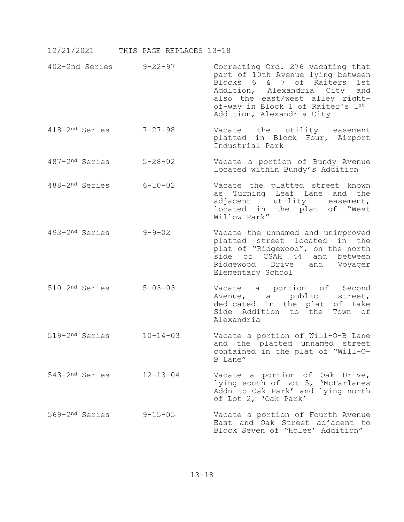- 402-2nd Series 9-22-97 Correcting Ord. 276 vacating that part of 10th Avenue lying between Blocks 6 & 7 of Raiters 1st<br>Addition, Alexandria City and Addition, Alexandria City and<br>also the east/west alley rightof-way in Block 1 of Raiter's 1st Addition, Alexandria City
- 418-2nd Series 7-27-98 Vacate the utility easement platted in Block Four, Airport Industrial Park
- 487-2nd Series 5-28-02 Vacate a portion of Bundy Avenue located within Bundy's Addition
- 488-2nd Series 6-10-02 Vacate the platted street known as Turning Leaf Lane and the adjacent utility easement, located in the plat of "West Willow Park"
- 493-2nd Series 9-9-02 Vacate the unnamed and unimproved platted street located in the plat of "Ridgewood", on the north side of CSAH 44 and between Ridgewood Drive and Voyager Elementary School
- 510-2nd Series 5-03-03 Vacate a portion of Second Avenue, a public dedicated in the plat of Lake Side Addition to the Town of Alexandria
- 519-2nd Series 10-14-03 Vacate a portion of Will-O-B Lane and the platted unnamed street contained in the plat of "Will-O-B Lane"
- 543-2nd Series 12-13-04 Vacate a portion of Oak Drive, lying south of Lot 5, 'McFarlanes Addn to Oak Park' and lying north of Lot 2, 'Oak Park'
- 569-2nd Series 9-15-05 Vacate a portion of Fourth Avenue East and Oak Street adjacent to Block Seven of "Holes' Addition"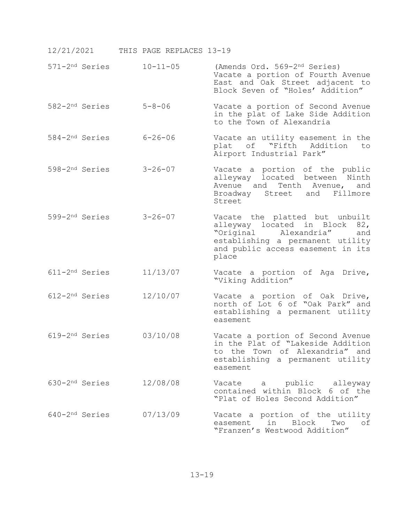|                            | 571-2 <sup>nd</sup> Series | $10 - 11 - 05$ | (Amends Ord. 569-2 <sup>nd</sup> Series)<br>Vacate a portion of Fourth Avenue<br>East and Oak Street adjacent to<br>Block Seven of "Holes' Addition"                              |
|----------------------------|----------------------------|----------------|-----------------------------------------------------------------------------------------------------------------------------------------------------------------------------------|
|                            | 582-2 <sup>nd</sup> Series | $5 - 8 - 06$   | Vacate a portion of Second Avenue<br>in the plat of Lake Side Addition<br>to the Town of Alexandria                                                                               |
|                            | 584-2 <sup>nd</sup> Series | $6 - 26 - 06$  | Vacate an utility easement in the<br>plat of "Fifth Addition<br>to<br>Airport Industrial Park"                                                                                    |
|                            | 598-2 <sup>nd</sup> Series | $3 - 26 - 07$  | Vacate a portion of the public<br>alleyway located between Ninth<br>Avenue and Tenth Avenue,<br>and<br>Broadway Street and Fillmore<br>Street                                     |
|                            | 599-2 <sup>nd</sup> Series | $3 - 26 - 07$  | Vacate the platted but unbuilt<br>alleyway located in Block 82,<br>"Original Alexandria"<br>and<br>establishing a permanent utility<br>and public access easement in its<br>place |
|                            | 611-2 <sup>nd</sup> Series | 11/13/07       | Vacate a portion of Aga Drive,<br>"Viking Addition"                                                                                                                               |
| 612-2 <sup>nd</sup> Series |                            | 12/10/07       | Vacate a portion of Oak Drive,<br>north of Lot 6 of "Oak Park" and<br>establishing a permanent utility<br>easement                                                                |
|                            | 619-2 <sup>nd</sup> Series | 03/10/08       | Vacate a portion of Second Avenue<br>in the Plat of "Lakeside Addition<br>to the Town of Alexandria" and<br>establishing a permanent utility<br>easement                          |
|                            | 630-2 <sup>nd</sup> Series | 12/08/08       | Vacate a public alleyway<br>contained within Block 6 of the<br>"Plat of Holes Second Addition"                                                                                    |
|                            | 640-2 <sup>nd</sup> Series | 07/13/09       | Vacate a portion of the utility<br>easement in Block<br>Two<br>оf<br>"Franzen's Westwood Addition"                                                                                |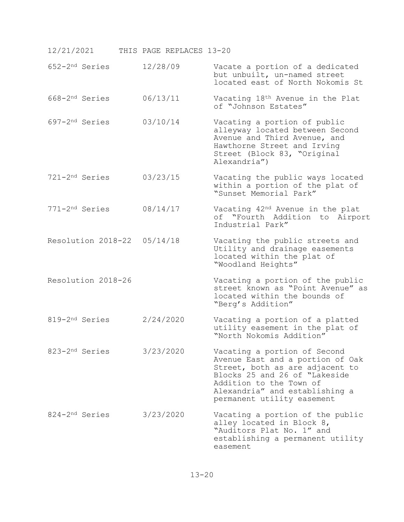| 12/21/2021                  | THIS PAGE REPLACES 13-20 |                                                                                                                                                                                                                                 |
|-----------------------------|--------------------------|---------------------------------------------------------------------------------------------------------------------------------------------------------------------------------------------------------------------------------|
| 652-2 <sup>nd</sup> Series  | 12/28/09                 | Vacate a portion of a dedicated<br>but unbuilt, un-named street<br>located east of North Nokomis St                                                                                                                             |
| 668-2 <sup>nd</sup> Series  | 06/13/11                 | Vacating 18th Avenue in the Plat<br>of "Johnson Estates"                                                                                                                                                                        |
| 697-2 <sup>nd</sup> Series  | 03/10/14                 | Vacating a portion of public<br>alleyway located between Second<br>Avenue and Third Avenue, and<br>Hawthorne Street and Irving<br>Street (Block 83, "Original<br>Alexandria")                                                   |
| 721-2 <sup>nd</sup> Series  | 03/23/15                 | Vacating the public ways located<br>within a portion of the plat of<br>"Sunset Memorial Park"                                                                                                                                   |
| 771-2 <sup>nd</sup> Series  | 08/14/17                 | Vacating 42 <sup>nd</sup> Avenue in the plat<br>of "Fourth Addition to Airport<br>Industrial Park"                                                                                                                              |
| Resolution 2018-22 05/14/18 |                          | Vacating the public streets and<br>Utility and drainage easements<br>located within the plat of<br>"Woodland Heights"                                                                                                           |
| Resolution 2018-26          |                          | Vacating a portion of the public<br>street known as "Point Avenue" as<br>located within the bounds of<br>"Berg's Addition"                                                                                                      |
| 819-2 <sup>nd</sup> Series  | 2/24/2020                | Vacating a portion of a platted<br>utility easement in the plat of<br>"North Nokomis Addition"                                                                                                                                  |
| 823-2 <sup>nd</sup> Series  | 3/23/2020                | Vacating a portion of Second<br>Avenue East and a portion of Oak<br>Street, both as are adjacent to<br>Blocks 25 and 26 of "Lakeside<br>Addition to the Town of<br>Alexandria" and establishing a<br>permanent utility easement |
| 824-2 <sup>nd</sup> Series  | 3/23/2020                | Vacating a portion of the public<br>alley located in Block 8,<br>"Auditors Plat No. 1" and<br>establishing a permanent utility<br>easement                                                                                      |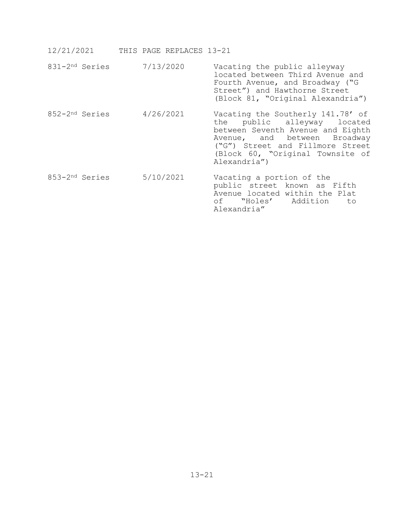|  | 12/21/2021 |  |  | THIS PAGE REPLACES 13-21 |  |
|--|------------|--|--|--------------------------|--|
|--|------------|--|--|--------------------------|--|

- 831-2nd Series 7/13/2020 Vacating the public alleyway located between Third Avenue and Fourth Avenue, and Broadway ("G Street") and Hawthorne Street (Block 81, "Original Alexandria") 852-2<sup>nd</sup> Series 4/26/2021 Vacating the Southerly 141.78' of<br>the public alleyway located public alleyway between Seventh Avenue and Eighth Avenue, and between Broadway ("G") Street and Fillmore Street (Block 60, "Original Townsite of Alexandria")
- 853-2nd Series 5/10/2021 Vacating a portion of the public street known as Fifth Avenue located within the Plat of "Holes' Addition to Alexandria"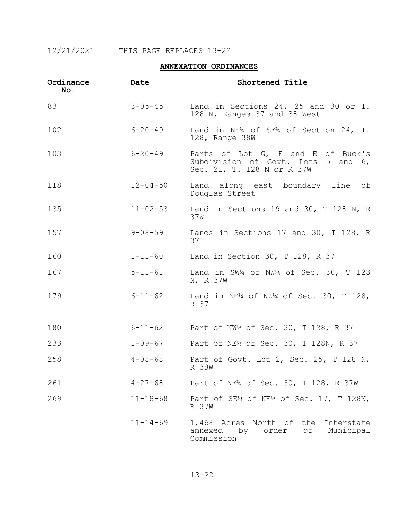# **ANNEXATION ORDINANCES**

| Ordinance<br>No. | Date           | Shortened Title                                                                                       |
|------------------|----------------|-------------------------------------------------------------------------------------------------------|
| 83               | $3 - 05 - 45$  | Land in Sections 24, 25 and 30 or T.<br>128 N, Ranges 37 and 38 West                                  |
| 102              | $6 - 20 - 49$  | Land in NE <sup>1</sup> 4 of SE <sup>14</sup> of Section 24, T.<br>128, Range 38W                     |
| 103              | $6 - 20 - 49$  | Parts of Lot G, F and E of Buck's<br>Subdivision of Govt. Lots 5 and 6,<br>Sec. 21, T. 128 N or R 37W |
| 118              | $12 - 04 - 50$ | Land along east boundary line of<br>Douglas Street                                                    |
| 135              | $11 - 02 - 53$ | Land in Sections 19 and 30, T 128 N, R<br>37W                                                         |
| 157              | $9 - 08 - 59$  | Lands in Sections 17 and 30, T 128, R<br>37                                                           |
| 160              | $1 - 11 - 60$  | Land in Section 30, T 128, R 37                                                                       |
| 167              | $5 - 11 - 61$  | Land in SW4 of NW4 of Sec. 30, T 128<br>N, R 37W                                                      |
| 179              | $6 - 11 - 62$  | Land in NE <sup>1</sup> 4 of NW <sup>14</sup> of Sec. 30, T 128,<br>R 37                              |
| 180              | $6 - 11 - 62$  | Part of NW <sup>4</sup> of Sec. 30, T 128, R 37                                                       |
| 233              | $1 - 09 - 67$  | Part of NE <sup>1</sup> 4 of Sec. 30, T 128N, R 37                                                    |
| 258              | $4 - 08 - 68$  | Part of Govt. Lot 2, Sec. 25, T 128 N,<br>R 38W                                                       |
| 261              | $4 - 27 - 68$  | Part of NE <sup>1</sup> 4 of Sec. 30, T 128, R 37W                                                    |
| 269              | $11 - 18 - 68$ | Part of SE <sup>14</sup> of NE <sup>14</sup> of Sec. 17, T 128N,<br>R 37W                             |
|                  | $11 - 14 - 69$ | 1,468 Acres North of the<br>Interstate<br>annexed by order<br>of Municipal<br>Commission              |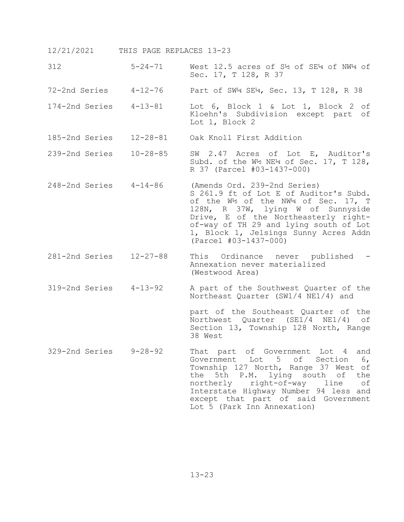312 5-24-71 West 12.5 acres of S½ of SE¼ of NW¼ of Sec. 17, T 128, R 37

72-2nd Series 4-12-76 Part of SW¼ SE¼, Sec. 13, T 128, R 38

- 174-2nd Series 4-13-81 Lot 6, Block 1 & Lot 1, Block 2 of Kloehn's Subdivision except part of Lot 1, Block 2
- 185-2nd Series 12-28-81 Oak Knoll First Addition
- 239-2nd Series 10-28-85 SW 2.47 Acres of Lot E, Auditor's Subd. of the W½ NE¼ of Sec. 17, T 128, R 37 (Parcel #03-1437-000)
- 248-2nd Series 4-14-86 (Amends Ord. 239-2nd Series) S 261.9 ft of Lot E of Auditor's Subd. of the W½ of the NW¼ of Sec. 17, T 128N, R 37W, lying W of Sunnyside Drive, E of the Northeasterly rightof-way of TH 29 and lying south of Lot 1, Block 1, Jelsings Sunny Acres Addn (Parcel #03-1437-000)
- 281-2nd Series 12-27-88 This Ordinance never published Annexation never materialized (Westwood Area)
- 319-2nd Series 4-13-92 A part of the Southwest Quarter of the Northeast Quarter (SW1/4 NE1/4) and

part of the Southeast Quarter of the Northwest Quarter (SE1/4 NE1/4) of Section 13, Township 128 North, Range 38 West

329-2nd Series 9-28-92 That part of Government Lot 4 and Government Lot 5 of Section 6, Township 127 North, Range 37 West of<br>the 5th P.M. lying south of the the 5th P.M. lying south of the<br>northerly right-of-way line of right-of-way Interstate Highway Number 94 less and except that part of said Government Lot 5 (Park Inn Annexation)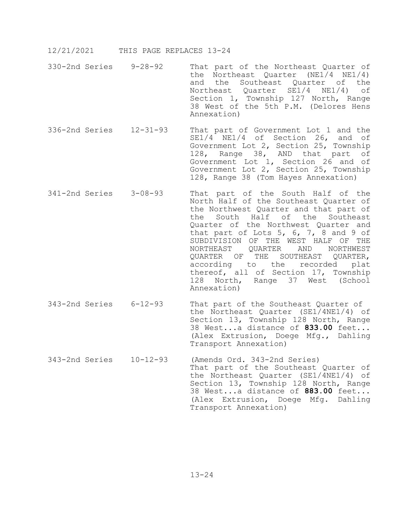- 330-2nd Series 9-28-92 That part of the Northeast Quarter of the Northeast Quarter (NE1/4 NE1/4) and the Southeast Quarter of the Northeast Quarter SE1/4 NE1/4) of Section 1, Township 127 North, Range 38 West of the 5th P.M. (Delores Hens Annexation)
- 336-2nd Series 12-31-93 That part of Government Lot 1 and the SE1/4 NE1/4 of Section 26, and of Government Lot 2, Section 25, Township 128, Range 38, AND that part of Government Lot 1, Section 26 and of Government Lot 2, Section 25, Township 128, Range 38 (Tom Hayes Annexation)
- 341-2nd Series 3-08-93 That part of the South Half of the North Half of the Southeast Quarter of the Northwest Quarter and that part of<br>the South Half of the Southeast the South Half of the Quarter of the Northwest Quarter and that part of Lots  $5, 6, 7, 8$  and  $9$  of SUBDIVISION OF THE WEST HALF OF THE<br>NORTHEAST OUARTER AND NORTHWEST QUARTER QUARTER OF THE SOUTHEAST QUARTER,<br>according to the recorded plat according to the recorded thereof, all of Section 17, Township 128 North, Range 37 West (School Annexation)
- 343-2nd Series 6-12-93 That part of the Southeast Quarter of the Northeast Quarter (SE1/4NE1/4) of Section 13, Township 128 North, Range 38 West...a distance of **833.00** feet... (Alex Extrusion, Doege Mfg., Dahling Transport Annexation)
- 343-2nd Series 10-12-93 (Amends Ord. 343-2nd Series) That part of the Southeast Quarter of the Northeast Quarter (SE1/4NE1/4) of Section 13, Township 128 North, Range 38 West...a distance of **883.00** feet... (Alex Extrusion, Doege Mfg. Dahling Transport Annexation)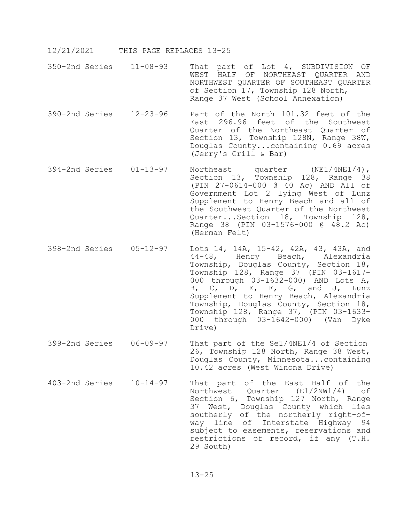- 12/21/2021 THIS PAGE REPLACES 13-25
- 350-2nd Series 11-08-93 That part of Lot 4, SUBDIVISION OF WEST HALF OF NORTHEAST QUARTER AND NORTHWEST QUARTER OF SOUTHEAST QUARTER of Section 17, Township 128 North, Range 37 West (School Annexation)
- 390-2nd Series 12-23-96 Part of the North 101.32 feet of the East 296.96 feet of the Southwest Quarter of the Northeast Quarter of Section 13, Township 128N, Range 38W, Douglas County...containing 0.69 acres (Jerry's Grill & Bar)
- 394-2nd Series 01-13-97 Northeast quarter (NE1/4NE1/4), Section 13, Township 128, Range 38 (PIN 27-0614-000 @ 40 Ac) AND All of Government Lot 2 lying West of Lunz Supplement to Henry Beach and all of the Southwest Quarter of the Northwest Quarter...Section 18, Township 128, Range 38 (PIN 03-1576-000 @ 48.2 Ac) (Herman Felt)
- 398-2nd Series 05-12-97 Lots 14, 14A, 15-42, 42A, 43, 43A, and 44-48, Henry Beach, Alexandria Township, Douglas County, Section 18, Township 128, Range 37 (PIN 03-1617- 000 through 03-1632-000) AND Lots A, B, C, D, E, F, G, and J, Lunz Supplement to Henry Beach, Alexandria Township, Douglas County, Section 18,<br>Township 128, Range 37, (PIN 03-1633-000 through 03-1642-000) (Van Dyke Drive)
- 399-2nd Series 06-09-97 That part of the Se1/4NE1/4 of Section 26, Township 128 North, Range 38 West, Douglas County, Minnesota...containing 10.42 acres (West Winona Drive)
- 403-2nd Series 10-14-97 That part of the East Half of the Northwest Quarter  $(E1/2NW1/4)$ Section 6, Township 127 North, Range 37 West, Douglas County which lies southerly of the northerly right-ofway line of Interstate Highway 94 subject to easements, reservations and restrictions of record, if any (T.H. 29 South)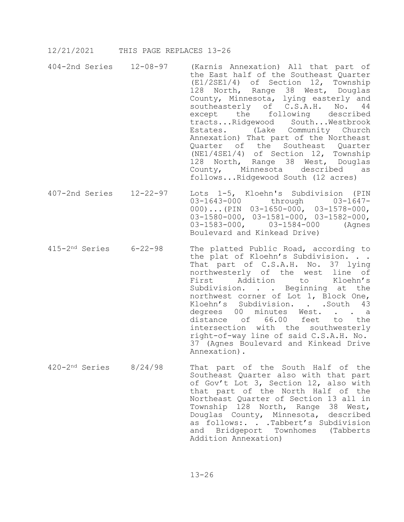- 404-2nd Series 12-08-97 (Karnis Annexation) All that part of the East half of the Southeast Quarter (E1/2SE1/4) of Section 12, Township 128 North, Range 38 West, Douglas County, Minnesota, lying easterly and southeasterly of C.S.A.H. No. 44<br>except the following described following described<br>ood South...Westbrook tracts...Ridgewood Estates. (Lake Community Church Annexation) That part of the Northeast Quarter of the Southeast Quarter (NE1/4SE1/4) of Section 12, Township 128 North, Range 38 West, Douglas<br>County, Minnesota described as Minnesota described follows...Ridgewood South (12 acres)
- 407-2nd Series 12-22-97 Lots 1-5, Kloehn's Subdivision (PIN 03-1643-000 through 03-1647-000)...(PIN 03-1650-000, 03-1578-000, 03-1580-000, 03-1581-000, 03-1582-000,<br>03-1583-000, 03-1584-000 (Agnes 03-1583-000, Boulevard and Kinkead Drive)
- 415-2nd Series 6-22-98 The platted Public Road, according to the plat of Kloehn's Subdivision. . . That part of C.S.A.H. No. 37 lying northwesterly of the west line of<br>First addition to Kloehn's Addition to Kloehn's Subdivision. . . Beginning at the northwest corner of Lot 1, Block One, Kloehn's Subdivision. . . South 43 degrees 00 minutes West. . . a<br>distance of 66.00 feet to the  $distance$  of  $66.00$  feet intersection with the southwesterly right-of-way line of said C.S.A.H. No. 37 (Agnes Boulevard and Kinkead Drive Annexation).
- 420-2nd Series 8/24/98 That part of the South Half of the Southeast Quarter also with that part of Gov't Lot 3, Section 12, also with that part of the North Half of the Northeast Quarter of Section 13 all in Township 128 North, Range 38 West, Douglas County, Minnesota, described as follows:. . . Tabbert's Subdivision and Bridgeport Townhomes (Tabberts Addition Annexation)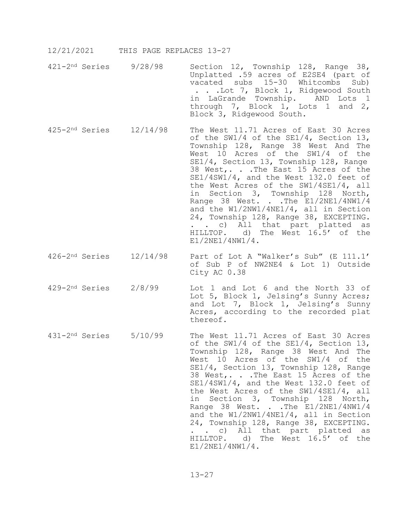- 421-2nd Series 9/28/98 Section 12, Township 128, Range 38, Unplatted .59 acres of E2SE4 (part of vacated subs 15-30 Whitcombs Sub) . . .Lot 7, Block 1, Ridgewood South in LaGrande Township. AND Lots 1 through 7, Block 1, Lots 1 and 2, Block 3, Ridgewood South.
- 425-2nd Series 12/14/98 The West 11.71 Acres of East 30 Acres of the SW1/4 of the SE1/4, Section 13, Township 128, Range 38 West And The West 10 Acres of the SW1/4 of the SE1/4, Section 13, Township 128, Range 38 West,. . .The East 15 Acres of the SE1/4SW1/4, and the West 132.0 feet of the West Acres of the SW1/4SE1/4, all in Section 3, Township 128 North, Range 38 West. . . The E1/2NE1/4NW1/4 and the W1/2NW1/4NE1/4, all in Section 24, Township 128, Range 38, EXCEPTING. . . c) All that part platted as HILLTOP. d) The West 16.5' of the E1/2NE1/4NW1/4.
- 426-2nd Series 12/14/98 Part of Lot A "Walker's Sub" (E 111.1' of Sub P of NW2NE4 & Lot 1) Outside City AC 0.38
- 429-2nd Series 2/8/99 Lot 1 and Lot 6 and the North 33 of Lot 5, Block 1, Jelsing's Sunny Acres; and Lot 7, Block 1, Jelsing's Sunny Acres, according to the recorded plat thereof.
- 431-2nd Series 5/10/99 The West 11.71 Acres of East 30 Acres of the SW1/4 of the SE1/4, Section 13, Township 128, Range 38 West And The West 10 Acres of the SW1/4 of the SE1/4, Section 13, Township 128, Range 38 West,. . .The East 15 Acres of the SE1/4SW1/4, and the West 132.0 feet of the West Acres of the SW1/4SE1/4, all in Section 3, Township 128 North, Range 38 West. . . The E1/2NE1/4NW1/4 and the W1/2NW1/4NE1/4, all in Section 24, Township 128, Range 38, EXCEPTING. . . c) All that part platted as HILLTOP. d) The West 16.5' of the E1/2NE1/4NW1/4.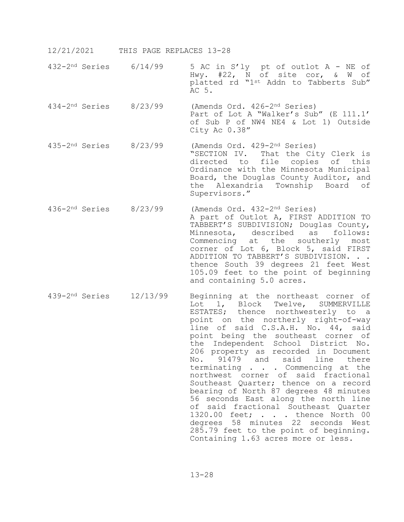- 432-2nd Series 6/14/99 5 AC in S'ly pt of outlot A NE of Hwy. #22, N of site cor, & W of platted rd "1st Addn to Tabberts Sub" AC 5.
- 434-2nd Series 8/23/99 (Amends Ord. 426-2nd Series) Part of Lot A "Walker's Sub" (E 111.1' of Sub P of NW4 NE4 & Lot 1) Outside City Ac 0.38"
- 435-2nd Series 8/23/99 (Amends Ord. 429-2nd Series) "SECTION IV. That the City Clerk is directed to file copies of this Ordinance with the Minnesota Municipal Board, the Douglas County Auditor, and the Alexandria Township Board of Supervisors."
- 436-2nd Series 8/23/99 (Amends Ord. 432-2nd Series) A part of Outlot A, FIRST ADDITION TO TABBERT'S SUBDIVISION; Douglas County, Minnesota, described as follows: Commencing at the southerly most corner of Lot 6, Block 5, said FIRST ADDITION TO TABBERT'S SUBDIVISION. . . thence South 39 degrees 21 feet West 105.09 feet to the point of beginning and containing 5.0 acres.
- 439-2nd Series 12/13/99 Beginning at the northeast corner of Lot 1, Block Twelve, SUMMERVILLE ESTATES; thence northwesterly to a point on the northerly right-of-way line of said C.S.A.H. No. 44, said point being the southeast corner of the Independent School District No. 206 property as recorded in Document<br>No. 91479 and said line there 91479 and said line there terminating . . . Commencing at the northwest corner of said fractional Southeast Quarter; thence on a record bearing of North 87 degrees 48 minutes 56 seconds East along the north line of said fractional Southeast Quarter 1320.00 feet; . . . thence North 00 degrees 58 minutes 22 seconds West 285.79 feet to the point of beginning. Containing 1.63 acres more or less.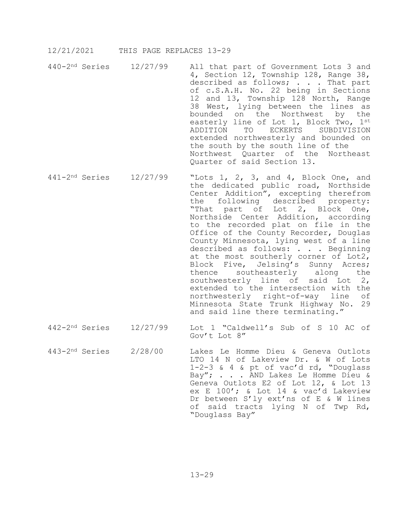- 440-2nd Series 12/27/99 All that part of Government Lots 3 and 4, Section 12, Township 128, Range 38, described as follows; . . . That part of c.S.A.H. No. 22 being in Sections 12 and 13, Township 128 North, Range 38 West, lying between the lines as bounded on the Northwest by the easterly line of Lot 1, Block Two, 1st<br>ADDITION TO ECKERTS SUBDIVISION ADDITION TO extended northwesterly and bounded on the south by the south line of the Northwest Quarter of the Northeast Quarter of said Section 13.
- 441-2nd Series 12/27/99 "Lots 1, 2, 3, and 4, Block One, and the dedicated public road, Northside Center Addition", excepting therefrom the following described property: "That part of Lot 2, Block One, Northside Center Addition, according to the recorded plat on file in the Office of the County Recorder, Douglas County Minnesota, lying west of a line described as follows: . . . Beginning at the most southerly corner of Lot2, Block Five, Jelsing's Sunny Acres;<br>thence southeasterly along the southeasterly southwesterly line of said Lot 2, extended to the intersection with the<br>northwesterly right-of-way line of northwesterly right-of-way line Minnesota State Trunk Highway No. 29 and said line there terminating."
- 442-2nd Series 12/27/99 Lot 1 "Caldwell's Sub of S 10 AC of Gov't Lot 8"
- 443-2nd Series 2/28/00 Lakes Le Homme Dieu & Geneva Outlots LTO 14 N of Lakeview Dr. & W of Lots 1-2-3 & 4 & pt of vac'd rd, "Douglass Bay"; . . . AND Lakes Le Homme Dieu & Geneva Outlots E2 of Lot 12, & Lot 13 ex E 100'; & Lot 14 & vac'd Lakeview Dr between S'ly ext'ns of E & W lines of said tracts lying N of Twp Rd, "Douglass Bay"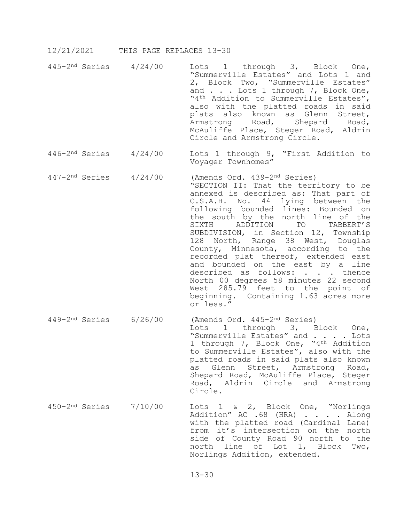- 445-2nd Series 4/24/00 Lots 1 through 3, Block One, "Summerville Estates" and Lots 1 and 2, Block Two, "Summerville Estates" and . . . Lots 1 through 7, Block One, "4<sup>th</sup> Addition to Summerville Estates", also with the platted roads in said plats also known as Glenn Street, Armstrong Road, Shepard Road, McAuliffe Place, Steger Road, Aldrin Circle and Armstrong Circle.
- 446-2nd Series 4/24/00 Lots 1 through 9, "First Addition to Voyager Townhomes"
- 447-2nd Series 4/24/00 (Amends Ord. 439-2nd Series) "SECTION II: That the territory to be annexed is described as: That part of C.S.A.H. No. 44 lying between the following bounded lines: Bounded on the south by the north line of the<br>SIXTH ADDITION TO TABBERT'S ADDITION TO TABBERT'S SUBDIVISION, in Section 12, Township 128 North, Range 38 West, Douglas County, Minnesota, according to the recorded plat thereof, extended east and bounded on the east by a line described as follows: . . . thence North 00 degrees 58 minutes 22 second West 285.79 feet to the point of beginning. Containing 1.63 acres more or less."
- 449-2nd Series 6/26/00 (Amends Ord. 445-2nd Series) Lots 1 through 3, Block One, "Summerville Estates" and . . . . Lots 1 through 7, Block One, "4th Addition to Summerville Estates", also with the platted roads in said plats also known as Glenn Street, Armstrong Road, Shepard Road, McAuliffe Place, Steger Road, Aldrin Circle and Armstrong Circle.
- 450-2nd Series 7/10/00 Lots 1 & 2, Block One, "Norlings Addition" AC .68 (HRA) . . . . Along with the platted road (Cardinal Lane) from it's intersection on the north side of County Road 90 north to the north line of Lot 1, Block Two, Norlings Addition, extended.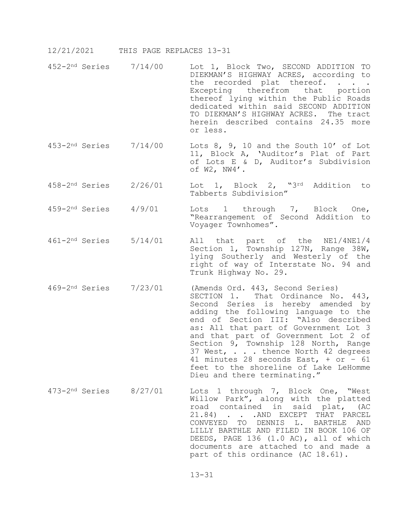- 452-2nd Series 7/14/00 Lot 1, Block Two, SECOND ADDITION TO DIEKMAN'S HIGHWAY ACRES, according to the recorded plat thereof. . . Excepting therefrom that portion thereof lying within the Public Roads dedicated within said SECOND ADDITION TO DIEKMAN'S HIGHWAY ACRES. The tract herein described contains 24.35 more or less.
- 453-2nd Series 7/14/00 Lots 8, 9, 10 and the South 10' of Lot 11, Block A, 'Auditor's Plat of Part of Lots E & D, Auditor's Subdivision of W2, NW4'.
- 458-2nd Series 2/26/01 Lot 1, Block 2, "3rd Addition to Tabberts Subdivision"
- 459-2nd Series 4/9/01 Lots 1 through 7, Block One, "Rearrangement of Second Addition to Voyager Townhomes".
- 461-2nd Series 5/14/01 All that part of the NE1/4NE1/4 Section 1, Township 127N, Range 38W, lying Southerly and Westerly of the right of way of Interstate No. 94 and Trunk Highway No. 29.
- 469-2nd Series 7/23/01 (Amends Ord. 443, Second Series) SECTION 1. That Ordinance No. 443, Second Series is hereby amended by adding the following language to the end of Section III: "Also described as: All that part of Government Lot 3 and that part of Government Lot 2 of Section 9, Township 128 North, Range 37 West, . . . thence North 42 degrees 41 minutes 28 seconds East, + or – 61 feet to the shoreline of Lake LeHomme Dieu and there terminating."
- 473-2nd Series 8/27/01 Lots 1 through 7, Block One, "West Willow Park", along with the platted road contained in said plat, (AC 21.84) . . . AND EXCEPT THAT PARCEL CONVEYED TO DENNIS L. BARTHLE AND LILLY BARTHLE AND FILED IN BOOK 106 OF DEEDS, PAGE 136 (1.0 AC), all of which documents are attached to and made a part of this ordinance (AC 18.61).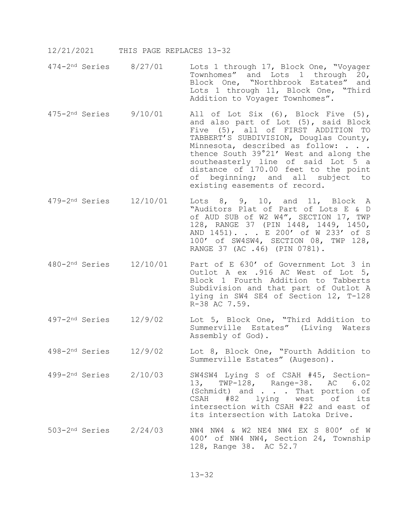- 474-2nd Series 8/27/01 Lots 1 through 17, Block One, "Voyager Townhomes" and Lots 1 through 20, Block One, "Northbrook Estates" and Lots 1 through 11, Block One, "Third Addition to Voyager Townhomes".
- 475-2nd Series 9/10/01 All of Lot Six (6), Block Five (5), and also part of Lot (5), said Block Five (5), all of FIRST ADDITION TO TABBERT'S SUBDIVISION, Douglas County, Minnesota, described as follow: . . . thence South 39°21' West and along the southeasterly line of said Lot 5 a distance of 170.00 feet to the point of beginning; and all subject to existing easements of record.
- 479-2nd Series 12/10/01 Lots 8, 9, 10, and 11, Block A "Auditors Plat of Part of Lots E & D of AUD SUB of W2 W4", SECTION 17, TWP 128, RANGE 37 (PIN 1448, 1449, 1450, AND 1451). . . E 200' of W 233' of S 100' of SW4SW4, SECTION 08, TWP 128, RANGE 37 (AC .46) (PIN 0781).
- 480-2nd Series 12/10/01 Part of E 630' of Government Lot 3 in Outlot A ex .916 AC West of Lot 5, Block 1 Fourth Addition to Tabberts Subdivision and that part of Outlot A lying in SW4 SE4 of Section 12, T-128 R-38 AC 7.59.
- 497-2nd Series 12/9/02 Lot 5, Block One, "Third Addition to Summerville Estates" (Living Waters Assembly of God).
- 498-2nd Series 12/9/02 Lot 8, Block One, "Fourth Addition to Summerville Estates" (Augeson).
- 499-2nd Series 2/10/03 SW4SW4 Lying S of CSAH #45, Section- 13, TWP-128, Range-38. AC 6.02 (Schmidt) and . . . That portion of<br>CSAH #82 lying west of its lying west of intersection with CSAH #22 and east of its intersection with Latoka Drive.
- 503-2nd Series 2/24/03 NW4 NW4 & W2 NE4 NW4 EX S 800' of W 400' of NW4 NW4, Section 24, Township 128, Range 38. AC 52.7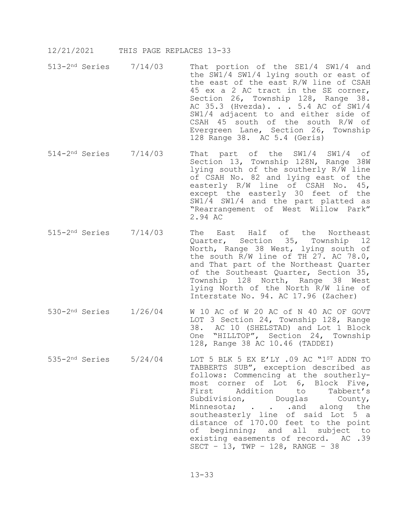- 513-2nd Series 7/14/03 That portion of the SE1/4 SW1/4 and the SW1/4 SW1/4 lying south or east of the east of the east R/W line of CSAH 45 ex a 2 AC tract in the SE corner, Section 26, Township 128, Range 38. AC 35.3 (Hvezda). . . 5.4 AC of SW1/4 SW1/4 adjacent to and either side of CSAH 45 south of the south R/W of Evergreen Lane, Section 26, Township 128 Range 38. AC 5.4 (Geris)
- 514-2nd Series 7/14/03 That part of the SW1/4 SW1/4 of Section 13, Township 128N, Range 38W lying south of the southerly R/W line of CSAH No. 82 and lying east of the easterly R/W line of CSAH No. 45, except the easterly 30 feet of the SW1/4 SW1/4 and the part platted as "Rearrangement of West Willow Park" 2.94 AC
- 515-2nd Series 7/14/03 The East Half of the Northeast Quarter, Section 35, Township 12 North, Range 38 West, lying south of the south R/W line of TH 27. AC 78.0, and That part of the Northeast Quarter of the Southeast Quarter, Section 35, Township 128 North, Range 38 West lying North of the North R/W line of Interstate No. 94. AC 17.96 (Zacher)
- 530-2nd Series 1/26/04 W 10 AC of W 20 AC of N 40 AC OF GOVT LOT 3 Section 24, Township 128, Range 38. AC 10 (SHELSTAD) and Lot 1 Block One "HILLTOP", Section 24, Township 128, Range 38 AC 10.46 (TADDEI)
- 535-2nd Series 5/24/04 LOT 5 BLK 5 EX E'LY .09 AC "1ST ADDN TO TABBERTS SUB", exception described as<br>follows: Commencing at the southerlymost corner of Lot 6, Block Five,<br>First addition to Tabbert's First Addition to Tabbert's<br>Subdivision, Douglas County, Subdivision, Douglas County, Minnesota; . . .and along the southeasterly line of said Lot 5 a distance of 170.00 feet to the point of beginning; and all subject to existing easements of record. AC .39 SECT – 13, TWP – 128, RANGE – 38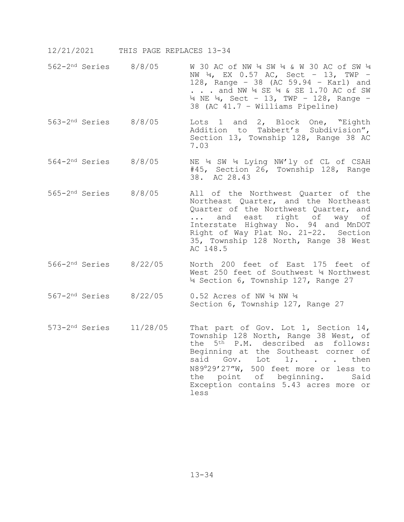- 562-2nd Series 8/8/05 W 30 AC of NW ¼ SW ¼ & W 30 AC of SW ¼ NW  $\frac{1}{4}$ , EX 0.57 AC, Sect - 13, TWP -128, Range – 38 (AC 59.94 – Karl) and . . . and NW  $\frac{1}{4}$  SE  $\frac{1}{4}$  & SE 1.70 AC of SW  $\frac{1}{4}$  NE  $\frac{1}{4}$ , Sect - 13, TWP - 128, Range -38 (AC 41.7 – Williams Pipeline)
- 563-2nd Series 8/8/05 Lots 1 and 2, Block One, "Eighth Addition to Tabbert's Subdivision", Section 13, Township 128, Range 38 AC 7.03
- 564-2nd Series 8/8/05 NE ¼ SW ¼ Lying NW'ly of CL of CSAH #45, Section 26, Township 128, Range 38. AC 28.43
- 565-2nd Series 8/8/05 All of the Northwest Quarter of the Northeast Quarter, and the Northeast Quarter of the Northwest Quarter, and<br>... and east right of way of and east right of way of Interstate Highway No. 94 and MnDOT Right of Way Plat No. 21-22. Section 35, Township 128 North, Range 38 West AC 148.5
- 566-2nd Series 8/22/05 North 200 feet of East 175 feet of West 250 feet of Southwest ¼ Northwest ¼ Section 6, Township 127, Range 27
- 567-2nd Series 8/22/05 0.52 Acres of NW ¼ NW ¼ Section 6, Township 127, Range 27
- 573-2nd Series 11/28/05 That part of Gov. Lot 1, Section 14, Township 128 North, Range 38 West, of the 5th P.M. described as follows: Beginning at the Southeast corner of<br>said  $Gov.$  Lot  $1;$ ... then said Gov. Lot 1; ... N89°29'27"W, 500 feet more or less to<br>the point of beginning. Said the point of beginning. Exception contains 5.43 acres more or less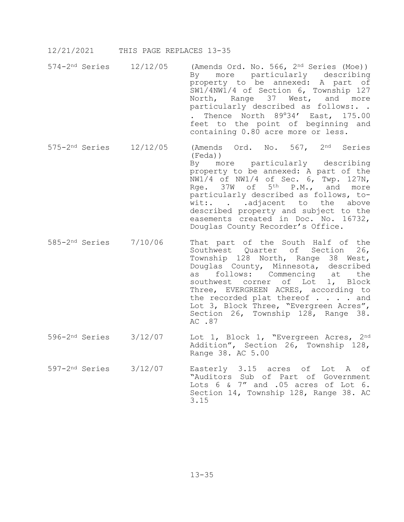- 574-2nd Series 12/12/05 (Amends Ord. No. 566, 2nd Series (Moe)) By more particularly describing property to be annexed: A part of SW1/4NW1/4 of Section 6, Township 127 North, Range 37 West, and more particularly described as follows:. . . Thence North 89°34' East, 175.00 feet to the point of beginning and containing 0.80 acre more or less.
- 575-2nd Series 12/12/05 (Amends Ord. No. 567, 2nd Series (Feda))<br>By mo more particularly describing property to be annexed: A part of the NW1/4 of NW1/4 of Sec. 6, Twp. 127N, Rge.  $37W$  of  $5^{th}$  P.M., and more particularly described as follows, towit:. . .adjacent to the above described property and subject to the easements created in Doc. No. 16732, Douglas County Recorder's Office.
- 585-2nd Series 7/10/06 That part of the South Half of the Southwest Quarter of Section 26, Township 128 North, Range 38 West, Douglas County, Minnesota, described<br>as follows: Commencing at the as follows: Commencing at the southwest corner of Lot 1, Block Three, EVERGREEN ACRES, according to the recorded plat thereof . . . . and Lot 3, Block Three, "Evergreen Acres", Section 26, Township 128, Range 38. AC .87
- 596-2nd Series 3/12/07 Lot 1, Block 1, "Evergreen Acres, 2nd Addition", Section 26, Township 128, Range 38. AC 5.00
- 597-2nd Series 3/12/07 Easterly 3.15 acres of Lot A of "Auditors Sub of Part of Government Lots 6 & 7" and .05 acres of Lot 6. Section 14, Township 128, Range 38. AC 3.15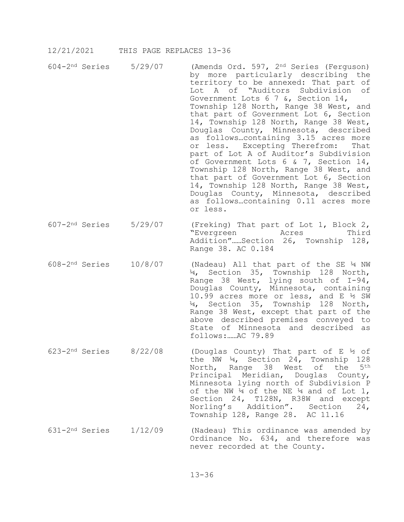- 604-2nd Series 5/29/07 (Amends Ord. 597, 2nd Series (Ferguson) by more particularly describing the territory to be annexed: That part of Lot A of "Auditors Subdivision of Government Lots 6 7 &, Section 14, Township 128 North, Range 38 West, and that part of Government Lot 6, Section 14, Township 128 North, Range 38 West, Douglas County, Minnesota, described as follows...containing 3.15 acres more<br>or less. Excepting Therefrom: That or less. Excepting Therefrom: part of Lot A of Auditor's Subdivision of Government Lots 6 & 7, Section 14, Township 128 North, Range 38 West, and that part of Government Lot 6, Section 14, Township 128 North, Range 38 West, Douglas County, Minnesota, described as follows…containing 0.11 acres more or less.
- 607-2nd Series 5/29/07 (Freking) That part of Lot 1, Block 2, "Evergreen Addition"……Section 26, Township 128, Range 38. AC 0.184
- 608-2nd Series 10/8/07 (Nadeau) All that part of the SE ¼ NW ¼, Section 35, Township 128 North, Range 38 West, lying south of I-94, Douglas County, Minnesota, containing 10.99 acres more or less, and E ½ SW ¼, Section 35, Township 128 North, Range 38 West, except that part of the above described premises conveyed to State of Minnesota and described as follows:……AC 79.89
- 623-2nd Series 8/22/08 (Douglas County) That part of E ½ of the NW ¼, Section 24, Township 128 North, Range 38 West of the 5th Principal Meridian, Douglas County, Minnesota lying north of Subdivision P of the NW  $\frac{1}{4}$  of the NE  $\frac{1}{4}$  and of Lot 1, Section 24, T128N, R38W and except<br>Norling's Addition". Section 24, Norling's Addition". Section Township 128, Range 28. AC 11.16
- $631-2<sup>nd</sup>$  Series  $1/12/09$  (Nadeau) This ordinance was amended by Ordinance No. 634, and therefore was never recorded at the County.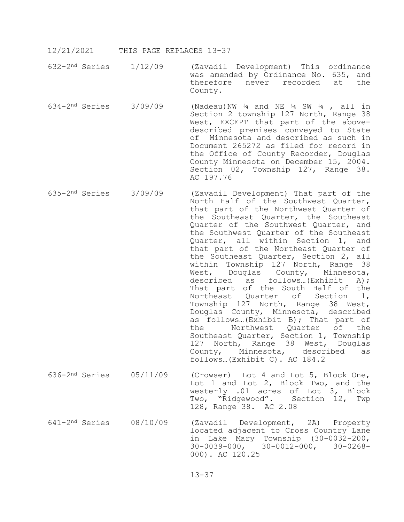- 12/21/2021 THIS PAGE REPLACES 13-37
- 632-2nd Series 1/12/09 (Zavadil Development) This ordinance was amended by Ordinance No. 635, and<br>therefore never recorded at the therefore never recorded County.
- 634-2<sup>nd</sup> Series 3/09/09 (Nadeau)NW  $\frac{1}{4}$  and NE  $\frac{1}{4}$  SW  $\frac{1}{4}$ , all in Section 2 township 127 North, Range 38 West, EXCEPT that part of the abovedescribed premises conveyed to State of Minnesota and described as such in Document 265272 as filed for record in the Office of County Recorder, Douglas County Minnesota on December 15, 2004. Section 02, Township 127, Range 38. AC 197.76
- 635-2nd Series 3/09/09 (Zavadil Development) That part of the North Half of the Southwest Quarter, that part of the Northwest Quarter of the Southeast Quarter, the Southeast Quarter of the Southwest Quarter, and the Southwest Quarter of the Southeast Quarter, all within Section 1, and that part of the Northeast Quarter of the Southeast Quarter, Section 2, all within Township 127 North, Range 38<br>West, Douglas County, Minnesota, West, Douglas County, described as follows…(Exhibit A); That part of the South Half of the Northeast Quarter of Section 1, Township 127 North, Range 38 West, Douglas County, Minnesota, described as follows...(Exhibit B); That part of<br>the Morthwest Quarter of the Northwest Quarter Southeast Quarter, Section 1, Township 127 North, Range 38 West, Douglas<br>County, Minnesota, described as Minnesota, described as follows…(Exhibit C). AC 184.2
- 636-2nd Series 05/11/09 (Crowser) Lot 4 and Lot 5, Block One, Lot 1 and Lot 2, Block Two, and the westerly .01 acres of Lot 3, Block Two, "Ridgewood". Section 12, Twp 128, Range 38. AC 2.08
- 641-2nd Series 08/10/09 (Zavadil Development, 2A) Property located adjacent to Cross Country Lane in Lake Mary Township (30-0032-200, 30-0039-000, 30-0012-000, 30-0268- 000). AC 120.25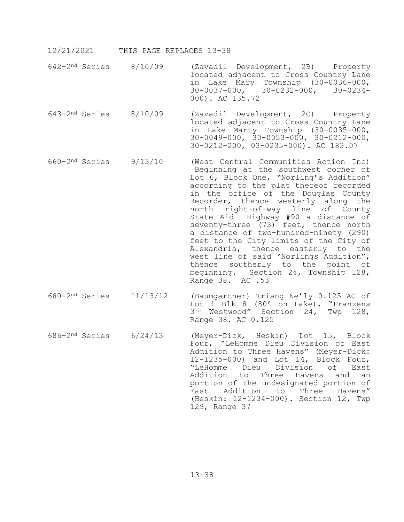- 642-2nd Series 8/10/09 (Zavadil Development, 2B) Property located adjacent to Cross Country Lane in Lake Mary Township (30-0036-000, 30-0037-000, 30-0232-000, 30-0234- 000). AC 135.72
- 643-2nd Series 8/10/09 (Zavadil Development, 2C) Property located adjacent to Cross Country Lane in Lake Marty Township (30-0035-000, 30-0049-000, 30-0053-000, 30-0212-000, 30-0212-200, 03-0235-000). AC 183.07
- 660-2nd Series 9/13/10 (West Central Communities Action Inc) Beginning at the southwest corner of Lot 6, Block One, "Norling's Addition" according to the plat thereof recorded in the office of the Douglas County Recorder, thence westerly along the north right-of-way line of County State Aid Highway #90 a distance of seventy-three (73) feet, thence north a distance of two-hundred-ninety (290) feet to the City limits of the City of Alexandria, thence easterly to the west line of said "Norlings Addition", thence southerly to the point of beginning. Section 24, Township 128, Range 38. AC .53
- 680-2nd Series 11/13/12 (Baumgartner) Triang Ne'ly 0.125 AC of Lot 1 Blk 8 (80' on Lake), "Franzens 3rd Westwood" Section 24, Twp 128, Range 38. AC 0.125
- 686-2nd Series 6/24/13 (Meyer-Dick, Heskin) Lot 15, Block Four, "LeHomme Dieu Division of East Addition to Three Havens" (Meyer-Dick: 12-1235-000) and Lot 14, Block Four, "LeHomme Dieu Division of East Addition to Three Havens and an portion of the undesignated portion of<br>East Addition to Three Havens" to Three Havens" (Heskin: 12-1234-000). Section 12, Twp 129, Range 37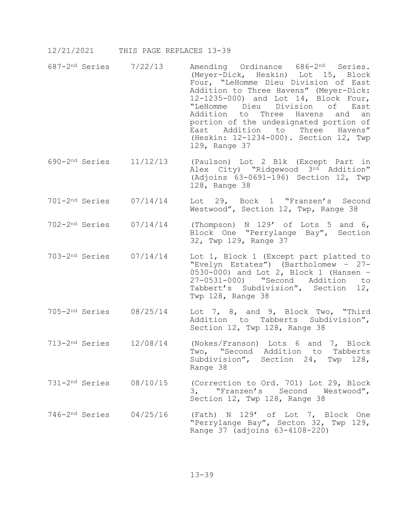- 687-2nd Series 7/22/13 Amending Ordinance 686-2nd Series. (Meyer-Dick, Heskin) Lot 15, Block Four, "LeHomme Dieu Division of East Addition to Three Havens" (Meyer-Dick: 12-1235-000) and Lot 14, Block Four,<br>
"LeHomme Dieu Division of East "LeHomme Dieu Division of Addition to Three Havens and an portion of the undesignated portion of East Addition to Three Havens" (Heskin: 12-1234-000). Section 12, Twp 129, Range 37
- 690-2nd Series 11/12/13 (Paulson) Lot 2 Blk (Except Part in Alex City) "Ridgewood 3rd Addition" (Adjoins 63-0691-196) Section 12, Twp 128, Range 38
- 701-2nd Series 07/14/14 Lot 29, Bock 1 "Franzen's Second Westwood", Section 12, Twp, Range 38
- 702-2nd Series 07/14/14 (Thompson) N 129' of Lots 5 and 6, Block One "Perrylange Bay", Section 32, Twp 129, Range 37
- 703-2nd Series 07/14/14 Lot 1, Block 1 (Except part platted to "Evelyn Estates") (Bartholomew – 27- 0530-000) and Lot 2, Block 1 (Hansen – 27-0531-000) "Second Addition to Tabbert's Subdivision", Section 12, Twp 128, Range 38
- 705-2nd Series 08/25/14 Lot 7, 8, and 9, Block Two, "Third Addition to Tabberts Subdivision", Section 12, Twp 128, Range 38
- 713-2nd Series 12/08/14 (Nokes/Franson) Lots 6 and 7, Block Two, "Second Addition to Tabberts Subdivision", Section 24, Twp 128, Range 38
- 731-2nd Series 08/10/15 (Correction to Ord. 701) Lot 29, Block 3, "Franzen's Second Westwood", Section 12, Twp 128, Range 38
- 746-2nd Series 04/25/16 (Fath) N 129' of Lot 7, Block One "Perrylange Bay", Secton 32, Twp 129, Range 37 (adjoins 63-4108-220)